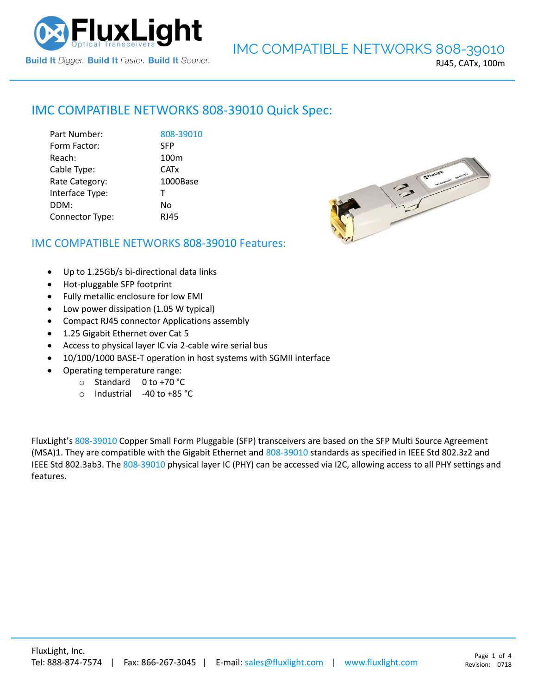

### RJ45, CATx, 100m

# IMC COMPATIBLE NETWORKS [808-39010](https://www.fluxlight.com/) Quick Spec:

| Part Number:    | 808-39010        |
|-----------------|------------------|
| Form Factor:    | <b>SFP</b>       |
| Reach:          | 100 <sub>m</sub> |
| Cable Type:     | <b>CATx</b>      |
| Rate Category:  | 1000Base         |
| Interface Type: | T                |
| DDM:            | No               |
| Connector Type: | <b>RJ45</b>      |



# IMC COMPATIBLE NETWORKS [808-39010](https://www.fluxlight.com/) Features:

- Up to 1.25Gb/s bi-directional data links
- Hot-pluggable SFP footprint
- Fully metallic enclosure for low EMI
- Low power dissipation (1.05 W typical)
- Compact RJ45 connector Applications assembly
- 1.25 Gigabit Ethernet over Cat 5
- Access to physical layer IC via 2-cable wire serial bus
- 10/100/1000 BASE-T operation in host systems with SGMII interface
- Operating temperature range:
	- o Standard 0 to +70 °C
	- o Industrial -40 to +85 °C

FluxLight's [808-39010](https://www.fluxlight.com/) Copper Small Form Pluggable (SFP) transceivers are based on the SFP Multi Source Agreement (MSA)1. They are compatible with the Gigabit Ethernet and [808-39010](https://www.fluxlight.com/) standards as specified in IEEE Std 802.3z2 and IEEE Std 802.3ab3. Th[e 808-39010](https://www.fluxlight.com/) physical layer IC (PHY) can be accessed via I2C, allowing access to all PHY settings and features.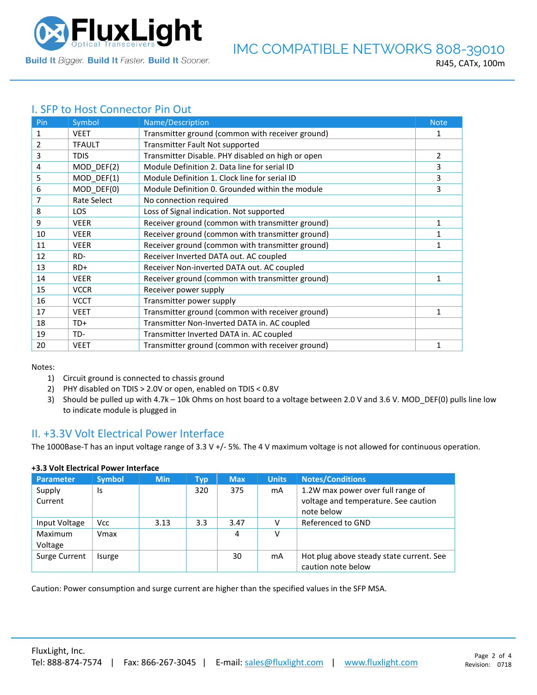

# I. SFP to Host Connector Pin Out

| Pin | Symbol             | Name/Description                                  | <b>Note</b>    |
|-----|--------------------|---------------------------------------------------|----------------|
| 1   | <b>VEET</b>        | Transmitter ground (common with receiver ground)  | 1              |
| 2   | <b>TFAULT</b>      | Transmitter Fault Not supported                   |                |
| 3   | <b>TDIS</b>        | Transmitter Disable. PHY disabled on high or open | $\overline{2}$ |
| 4   | MOD_DEF(2)         | Module Definition 2. Data line for serial ID      | 3              |
| 5   | MOD DEF(1)         | Module Definition 1. Clock line for serial ID     | 3              |
| 6   | MOD DEF(0)         | Module Definition 0. Grounded within the module   | 3              |
| 7   | <b>Rate Select</b> | No connection required                            |                |
| 8   | <b>LOS</b>         | Loss of Signal indication. Not supported          |                |
| 9   | <b>VEER</b>        | Receiver ground (common with transmitter ground)  | $\mathbf{1}$   |
| 10  | <b>VEER</b>        | Receiver ground (common with transmitter ground)  | 1              |
| 11  | <b>VEER</b>        | Receiver ground (common with transmitter ground)  | 1              |
| 12  | RD-                | Receiver Inverted DATA out. AC coupled            |                |
| 13  | $RD+$              | Receiver Non-inverted DATA out. AC coupled        |                |
| 14  | <b>VEER</b>        | Receiver ground (common with transmitter ground)  | 1              |
| 15  | <b>VCCR</b>        | Receiver power supply                             |                |
| 16  | <b>VCCT</b>        | Transmitter power supply                          |                |
| 17  | <b>VEET</b>        | Transmitter ground (common with receiver ground)  | 1              |
| 18  | TD+                | Transmitter Non-Inverted DATA in. AC coupled      |                |
| 19  | TD-                | Transmitter Inverted DATA in. AC coupled          |                |
| 20  | <b>VEET</b>        | Transmitter ground (common with receiver ground)  | 1              |

Notes:

- 1) Circuit ground is connected to chassis ground
- 2) PHY disabled on TDIS > 2.0V or open, enabled on TDIS < 0.8V
- 3) Should be pulled up with 4.7k 10k Ohms on host board to a voltage between 2.0 V and 3.6 V. MOD\_DEF(0) pulls line low to indicate module is plugged in

# II. +3.3V Volt Electrical Power Interface

The 1000Base-T has an input voltage range of 3.3 V +/- 5%. The 4 V maximum voltage is not allowed for continuous operation.

| <b>Parameter</b>   | <b>Symbol</b> | <b>Min</b> | Typ | <b>Max</b> | <b>Units</b> | <b>Notes/Conditions</b>                                                                 |
|--------------------|---------------|------------|-----|------------|--------------|-----------------------------------------------------------------------------------------|
| Supply<br>Current  | Is            |            | 320 | 375        | mA           | 1.2W max power over full range of<br>voltage and temperature. See caution<br>note below |
| Input Voltage      | <b>Vcc</b>    | 3.13       | 3.3 | 3.47       |              | Referenced to GND                                                                       |
| Maximum<br>Voltage | Vmax          |            |     | 4          | v            |                                                                                         |
| Surge Current      | Isurge        |            |     | 30         | mA           | Hot plug above steady state current. See<br>caution note below                          |

### **+3.3 Volt Electrical Power Interface**

Caution: Power consumption and surge current are higher than the specified values in the SFP MSA.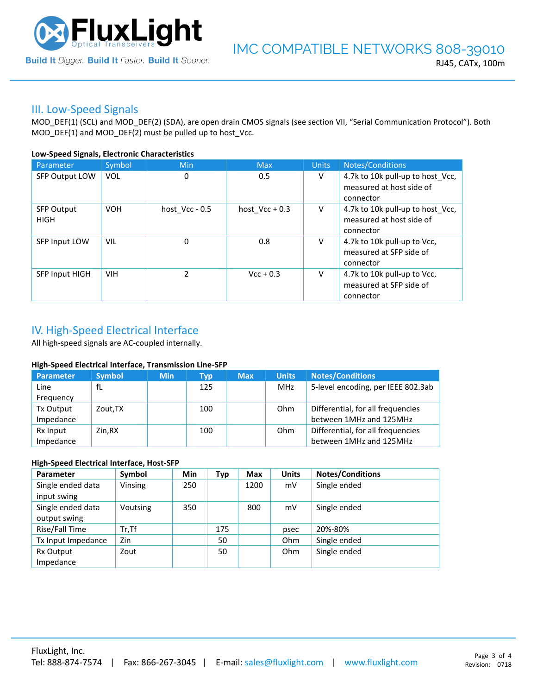

## III. Low-Speed Signals

MOD\_DEF(1) (SCL) and MOD\_DEF(2) (SDA), are open drain CMOS signals (see section VII, "Serial Communication Protocol"). Both MOD\_DEF(1) and MOD\_DEF(2) must be pulled up to host\_Vcc.

### **Low-Speed Signals, Electronic Characteristics**

| Parameter                        | Symbol     | Min              | <b>Max</b>       | <b>Units</b> | Notes/Conditions                                                          |
|----------------------------------|------------|------------------|------------------|--------------|---------------------------------------------------------------------------|
| <b>SFP Output LOW</b>            | <b>VOL</b> | 0                | 0.5              | V            | 4.7k to 10k pull-up to host_Vcc,<br>measured at host side of<br>connector |
| <b>SFP Output</b><br><b>HIGH</b> | <b>VOH</b> | host $Vcc - 0.5$ | host $Vec + 0.3$ | V            | 4.7k to 10k pull-up to host Vcc,<br>measured at host side of<br>connector |
| SFP Input LOW                    | <b>VIL</b> | 0                | 0.8              | V            | 4.7k to 10k pull-up to Vcc,<br>measured at SFP side of<br>connector       |
| <b>SFP Input HIGH</b>            | <b>VIH</b> | $\mathcal{P}$    | $Vcc + 0.3$      | V            | 4.7k to 10k pull-up to Vcc,<br>measured at SFP side of<br>connector       |

# IV. High-Speed Electrical Interface

All high-speed signals are AC-coupled internally.

### **High-Speed Electrical Interface, Transmission Line-SFP**

| Parameter | <b>Symbol</b> | <b>Min</b> | Typ | <b>Max</b> | <b>Units</b> | <b>Notes/Conditions</b>            |
|-----------|---------------|------------|-----|------------|--------------|------------------------------------|
| Line      | fL            |            | 125 |            | MHz          | 5-level encoding, per IEEE 802.3ab |
| Frequency |               |            |     |            |              |                                    |
| Tx Output | Zout, TX      |            | 100 |            | Ohm          | Differential, for all frequencies  |
| Impedance |               |            |     |            |              | between 1MHz and 125MHz            |
| Rx Input  | Zin.RX        |            | 100 |            | Ohm          | Differential, for all frequencies  |
| Impedance |               |            |     |            |              | between 1MHz and 125MHz            |

### **High-Speed Electrical Interface, Host-SFP**

| Parameter          | Symbol   | <b>Min</b> | <b>Typ</b> | <b>Max</b> | <b>Units</b> | <b>Notes/Conditions</b> |
|--------------------|----------|------------|------------|------------|--------------|-------------------------|
| Single ended data  | Vinsing  | 250        |            | 1200       | mV           | Single ended            |
| input swing        |          |            |            |            |              |                         |
| Single ended data  | Voutsing | 350        |            | 800        | mV           | Single ended            |
| output swing       |          |            |            |            |              |                         |
| Rise/Fall Time     | $Tr.$ Tf |            | 175        |            | psec         | 20%-80%                 |
| Tx Input Impedance | Zin      |            | 50         |            | <b>Ohm</b>   | Single ended            |
| Rx Output          | Zout     |            | 50         |            | <b>Ohm</b>   | Single ended            |
| Impedance          |          |            |            |            |              |                         |